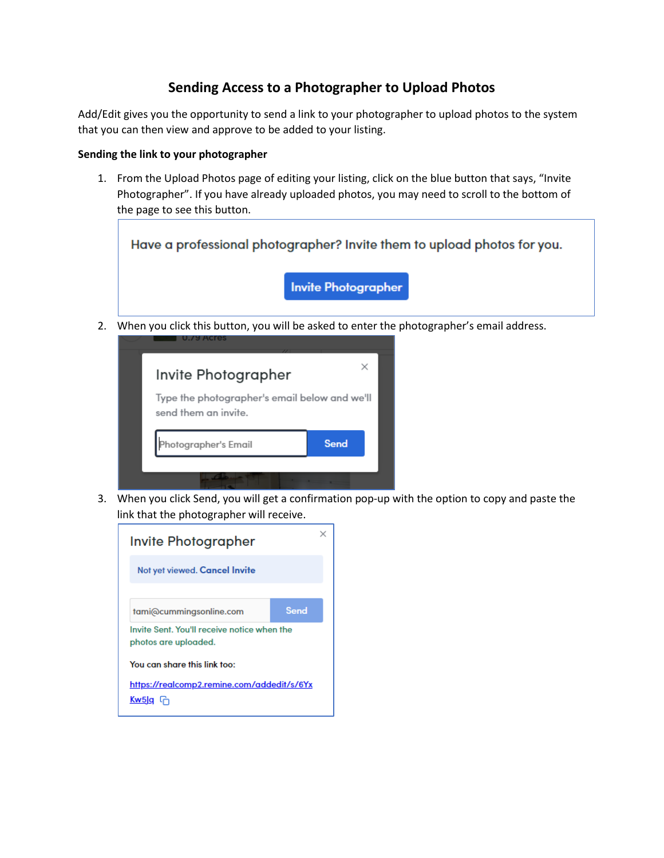## **Sending Access to a Photographer to Upload Photos**

Add/Edit gives you the opportunity to send a link to your photographer to upload photos to the system that you can then view and approve to be added to your listing.

## **Sending the link to your photographer**

1. From the Upload Photos page of editing your listing, click on the blue button that says, "Invite Photographer". If you have already uploaded photos, you may need to scroll to the bottom of the page to see this button.



2. When you click this button, you will be asked to enter the photographer's email address.



3. When you click Send, you will get a confirmation pop-up with the option to copy and paste the link that the photographer will receive.

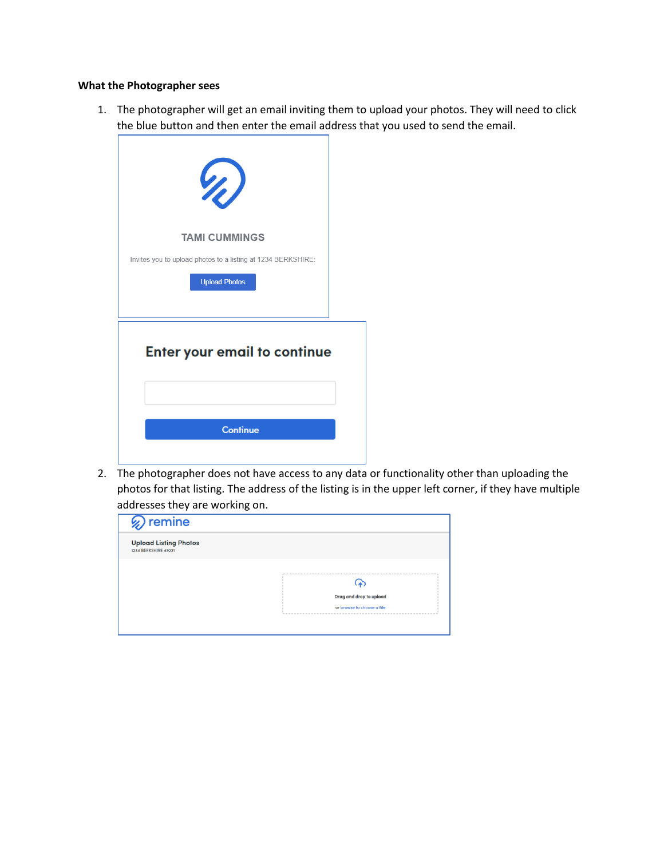## **What the Photographer sees**

1. The photographer will get an email inviting them to upload your photos. They will need to click the blue button and then enter the email address that you used to send the email.

| VI)                                                          |  |
|--------------------------------------------------------------|--|
| <b>TAMI CUMMINGS</b>                                         |  |
| Invites you to upload photos to a listing at 1234 BERKSHIRE: |  |
| <b>Upload Photos</b>                                         |  |
| <b>Enter your email to continue</b>                          |  |
| <b>Continue</b>                                              |  |

2. The photographer does not have access to any data or functionality other than uploading the photos for that listing. The address of the listing is in the upper left corner, if they have multiple addresses they are working on.

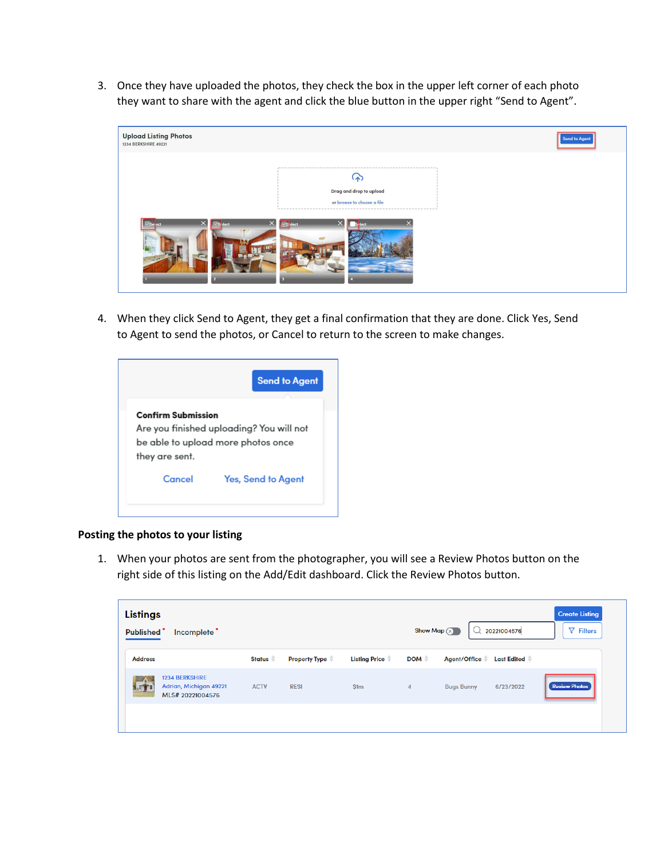3. Once they have uploaded the photos, they check the box in the upper left corner of each photo they want to share with the agent and click the blue button in the upper right "Send to Agent".

| <b>Upload Listing Photos</b><br>1234 BERKSHIRE 49221 |                                                       | <b>Send to Agent</b> |
|------------------------------------------------------|-------------------------------------------------------|----------------------|
|                                                      | Drag and drop to upload<br>or browse to choose a file |                      |

4. When they click Send to Agent, they get a final confirmation that they are done. Click Yes, Send to Agent to send the photos, or Cancel to return to the screen to make changes.

|                           | <b>Send to Agent</b>                     |
|---------------------------|------------------------------------------|
| <b>Confirm Submission</b> |                                          |
|                           | Are you finished uploading? You will not |
|                           | be able to upload more photos once       |
| they are sent.            |                                          |
| Cancel                    | <b>Yes, Send to Agent</b>                |
|                           |                                          |

## **Posting the photos to your listing**

1. When your photos are sent from the photographer, you will see a Review Photos button on the right side of this listing on the Add/Edit dashboard. Click the Review Photos button.

| <b>Listings</b><br>Show Map $(x)$<br><b>Published</b><br>Incomplete <sup>•</sup> |                                                                     |             |                      | 20221004576          | <b>Create Listing</b><br>$\nabla$ Filters |                                    |                      |
|----------------------------------------------------------------------------------|---------------------------------------------------------------------|-------------|----------------------|----------------------|-------------------------------------------|------------------------------------|----------------------|
| <b>Address</b>                                                                   |                                                                     | Status #    | <b>Property Type</b> | <b>Listing Price</b> | DOM $\triangleq$                          | Agent/Office<br><b>Last Edited</b> |                      |
|                                                                                  | <b>1234 BERKSHIRE</b><br>Adrian, Michigan 49221<br>MLS# 20221004576 | <b>ACTV</b> | <b>RESI</b>          | \$1m                 | $\overline{4}$                            | <b>Bugs Bunny</b><br>6/23/2022     | <b>Review Photos</b> |
|                                                                                  |                                                                     |             |                      |                      |                                           |                                    |                      |